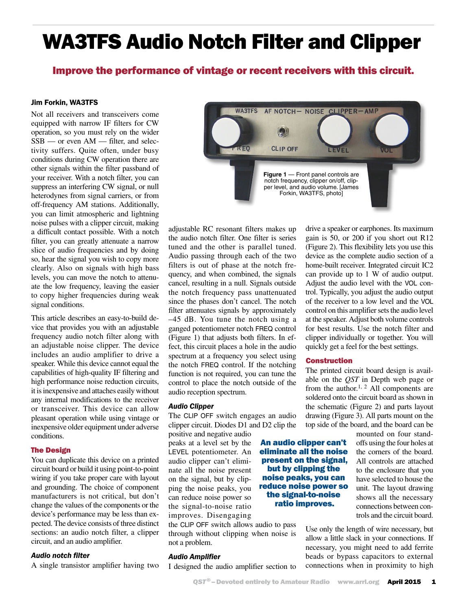# WA3TFS Audio Notch Filter and Clipper

# Improve the performance of vintage or recent receivers with this circuit.

**WA3TFS** 

## Jim Forkin, WA3TFS

Not all receivers and transceivers come equipped with narrow IF filters for CW operation, so you must rely on the wider SSB — or even AM — filter, and selectivity suffers. Quite often, under busy conditions during CW operation there are other signals within the filter passband of your receiver. With a notch filter, you can suppress an interfering CW signal, or null heterodynes from signal carriers, or from off-frequency AM stations. Additionally, you can limit atmospheric and lightning noise pulses with a clipper circuit, making a difficult contact possible. With a notch filter, you can greatly attenuate a narrow slice of audio frequencies and by doing so, hear the signal you wish to copy more clearly. Also on signals with high bass levels, you can move the notch to attenuate the low frequency, leaving the easier to copy higher frequencies during weak signal conditions.

This article describes an easy-to-build device that provides you with an adjustable frequency audio notch filter along with an adjustable noise clipper. The device includes an audio amplifier to drive a speaker. While this device cannot equal the capabilities of high-quality IF filtering and high performance noise reduction circuits, it is inexpensive and attaches easily without any internal modifications to the receiver or transceiver. This device can allow pleasant operation while using vintage or inexpensive older equipment under adverse conditions.

#### The Design

You can duplicate this device on a printed circuit board or build it using point-to-point wiring if you take proper care with layout and grounding. The choice of component manufacturers is not critical, but don't change the values of the components or the device's performance may be less than expected. The device consists of three distinct sections: an audio notch filter, a clipper circuit, and an audio amplifier.

### *Audio notch filter*

A single transistor amplifier having two

 $REC$ **CLIP OFF** LEVEL **Figure 1** — Front panel controls are notch frequency, clipper on/off, clipper level, and audio volume. [James Forkin, WA3TFS, photo] adjustable RC resonant filters makes up

AF NOTCH- NOISE CLIPPER-AMP

the audio notch filter. One filter is series tuned and the other is parallel tuned. Audio passing through each of the two filters is out of phase at the notch frequency, and when combined, the signals cancel, resulting in a null. Signals outside the notch frequency pass unattenuated since the phases don't cancel. The notch filter attenuates signals by approximately –45 dB. You tune the notch using a ganged potentiometer notch FREQ control (Figure 1) that adjusts both filters. In effect, this circuit places a hole in the audio spectrum at a frequency you select using the notch FREQ control. If the notching function is not required, you can tune the control to place the notch outside of the audio reception spectrum.

#### *Audio Clipper*

The CLIP OFF switch engages an audio clipper circuit. Diodes D1 and D2 clip the

positive and negative audio peaks at a level set by the LEVEL potentiometer. An audio clipper can't eliminate all the noise present on the signal, but by clipping the noise peaks, you can reduce noise power so the signal-to-noise ratio improves. Disengaging

the CLIP OFF switch allows audio to pass through without clipping when noise is not a problem.

#### *Audio Amplifier*

I designed the audio amplifier section to

drive a speaker or earphones. Its maximum gain is 50, or 200 if you short out R12 (Figure 2). This flexibility lets you use this device as the complete audio section of a home-built receiver. Integrated circuit IC2 can provide up to 1 W of audio output. Adjust the audio level with the VOL control. Typically, you adjust the audio output of the receiver to a low level and the VOL control on this amplifier sets the audio level at the speaker. Adjust both volume controls for best results. Use the notch filter and clipper individually or together. You will quickly get a feel for the best settings.

#### Construction

The printed circuit board design is available on the *QST* in Depth web page or from the author.<sup>1, 2</sup> All components are soldered onto the circuit board as shown in the schematic (Figure 2) and parts layout drawing (Figure 3). All parts mount on the top side of the board, and the board can be

> mounted on four standoffs using the four holes at the corners of the board. All controls are attached to the enclosure that you have selected to house the unit. The layout drawing shows all the necessary connections between controls and the circuit board.

Use only the length of wire necessary, but allow a little slack in your connections. If necessary, you might need to add ferrite beads or bypass capacitors to external connections when in proximity to high

An audio clipper can't eliminate all the noise present on the signal, but by clipping the noise peaks, you can reduce noise power so the signal-to-noise ratio improves.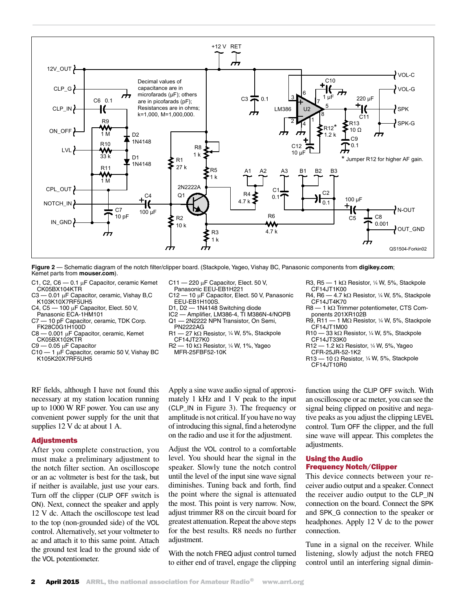

**Figure 2** — Schematic diagram of the notch filter/clipper board. (Stackpole, Yageo, Vishay BC, Panasonic components from **digikey.com**; Kemet parts from **mouser.com**).

- C1, C2, C6 0.1 µF Capacitor, ceramic Kemet CK05BX104KTR
- $C3 0.01$  µF Capacitor, ceramic, Vishay B,C K103K10X7RF5UH5
- C4, C5  $-$  100 µF Capacitor, Elect. 50 V,
- Panasonic ECA-1HM101 C7 — 10 pF Capacitor, ceramic, TDK Corp.
- FK28C0G1H100D<br>C8 0.001 µF Capa - 0.001 μF Capacitor, ceramic, Kemet CK05BX102KTR
- $C9 0.05$  uF Capacitor
- $C10 1$  µF Capacitor, ceramic 50 V, Vishay BC K105K20X7RF5UH5
- RF fields, although I have not found this necessary at my station location running up to 1000 W RF power. You can use any convenient power supply for the unit that supplies 12 V dc at about 1 A.

#### Adjustments

After you complete construction, you must make a preliminary adjustment to the notch filter section. An oscilloscope or an ac voltmeter is best for the task, but if neither is available, just use your ears. Turn off the clipper (CLIP OFF switch is ON). Next, connect the speaker and apply 12 V dc. Attach the oscilloscope test lead to the top (non-grounded side) of the VOL control. Alternatively, set your voltmeter to ac and attach it to this same point. Attach the ground test lead to the ground side of the VOL potentiometer.

- $C11 220$  µF Capacitor, Elect. 50 V,
- Panasonic EEU-EB1H221
- $C12 10 \mu F$  Capacitor, Elect. 50 V, Panasonic EEU-EB1H100S.
- D1, D2 1N4148 Switching diode
- IC2 Amplifier, LM386-4, TI M386N-4/NOPB Q1 — 2N2222 NPN Transistor, On Semi,
- PN2222AG<br> $R1 27 k\Omega$  $R1 - 27$  k $\Omega$  Resistor, 1/4 W, 5%, Stackpole CF14JT27K0
- $R2 10 k\Omega$  Resistor, 1/4 W, 1%, Yageo MFR-25FBF52-10K

Apply a sine wave audio signal of approximately 1 kHz and 1 V peak to the input (CLP\_IN in Figure 3). The frequency or amplitude is not critical. If you have no way of introducing this signal, find a heterodyne on the radio and use it for the adjustment.

Adjust the VOL control to a comfortable level. You should hear the signal in the speaker. Slowly tune the notch control until the level of the input sine wave signal diminishes. Tuning back and forth, find the point where the signal is attenuated the most. This point is very narrow. Now, adjust trimmer R8 on the circuit board for greatest attenuation. Repeat the above steps for the best results. R8 needs no further adjustment.

With the notch FREQ adjust control turned to either end of travel, engage the clipping R3, R5  $-$  1 k $\Omega$  Resistor, 1/4 W, 5%, Stackpole CF14JT1K00

- R4, R6  $-$  4.7 k $\Omega$  Resistor, 1/4 W, 5%, Stackpole CF14JT4K70
- $R8 1$  k $\Omega$  Trimmer potentiometer, CTS Components 201XR102B
- R9, R11  $-$  1 M $\Omega$  Resistor, 1/4 W, 5%, Stackpole CF14JT1M00
- $R10 33 k\Omega$  Resistor, 1/4 W, 5%, Stackpole CF14JT33K0
- $R12 1.2 k\Omega$  Resistor, 1/4 W, 5%, Yageo CFR-25JR-52-1K2
- $R13 10 \Omega$  Resistor, 1/4 W, 5%, Stackpole CF14JT10R0

function using the CLIP OFF switch. With an oscilloscope or ac meter, you can see the signal being clipped on positive and negative peaks as you adjust the clipping LEVEL control. Turn OFF the clipper, and the full sine wave will appear. This completes the adjustments.

#### Using the Audio Frequency Notch/Clipper

This device connects between your receiver audio output and a speaker. Connect the receiver audio output to the CLP\_IN connection on the board. Connect the SPK and SPK\_G connection to the speaker or headphones. Apply 12 V dc to the power connection.

Tune in a signal on the receiver. While listening, slowly adjust the notch FREQ control until an interfering signal dimin-